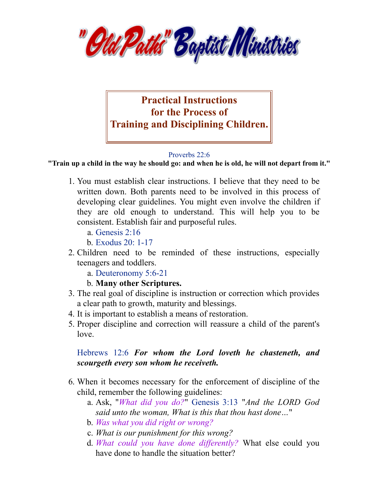



## [Proverbs 22:6](https://av1611.com/verseclick/gobible.php?p=Proverbs_22.6)

**"Train up a child in the way he should go: and when he is old, he will not depart from it."**

- 1. You must establish clear instructions. I believe that they need to be written down. Both parents need to be involved in this process of developing clear guidelines. You might even involve the children if they are old enough to understand. This will help you to be consistent. Establish fair and purposeful rules.
	- a. [Genesis](https://av1611.com/verseclick/gobible.php?p=Genesis_2.16) 2:16
	- b. [Exodus](https://av1611.com/verseclick/gobible.php?p=Exodus_20.1-17) 20: 1-17
- 2. Children need to be reminded of these instructions, especially teenagers and toddlers.
	- a. [Deuteronomy](https://av1611.com/verseclick/gobible.php?p=Deuteronomy_5.6-21) 5:6-21
	- b. **Many other Scriptures.**
- 3. The real goal of discipline is instruction or correction which provides a clear path to growth, maturity and blessings.
- 4. It is important to establish a means of restoration.
- 5. Proper discipline and correction will reassure a child of the parent's love.

## [Hebrews](https://av1611.com/verseclick/gobible.php?p=Hebrews_12.6) 12:6 *For whom the Lord loveth he chasteneth, and scourgeth every son whom he receiveth.*

- 6. When it becomes necessary for the enforcement of discipline of the child, remember the following guidelines:
	- a. Ask, "*What did you do?*" [Genesis](https://av1611.com/verseclick/gobible.php?p=Genesis_3.13) 3:13 "*And the LORD God said unto the woman, What is this that thou hast done…*"
	- b. *Was what you did right or wrong?*
	- c. *What is our punishment for this wrong?*
	- d. *What could you have done dif erently?* What else could you have done to handle the situation better?